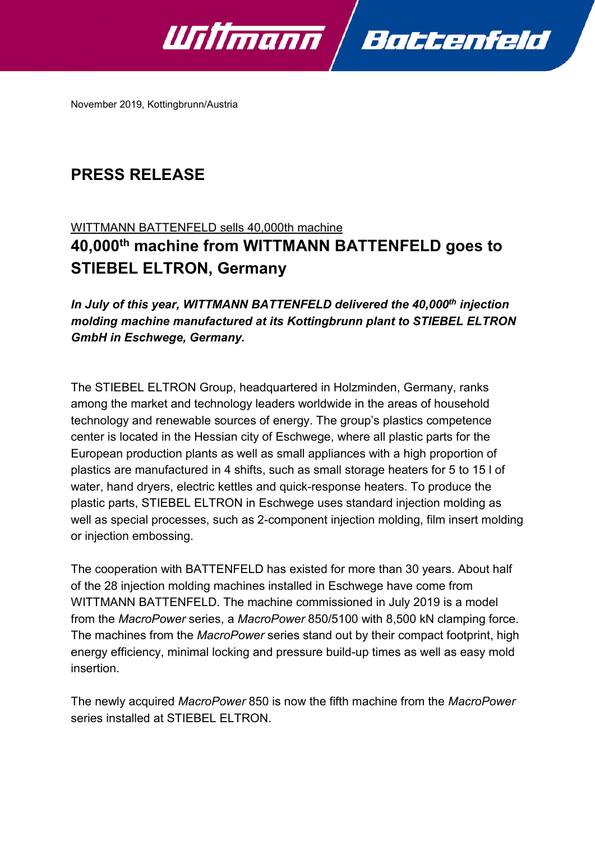

November 2019, Kottingbrunn/Austria

# **PRESS RELEASE**

# WITTMANN BATTENFELD sells 40,000th machine **40,000th machine from WITTMANN BATTENFELD goes to STIEBEL ELTRON, Germany**

*In July of this year, WITTMANN BATTENFELD delivered the 40,000th injection molding machine manufactured at its Kottingbrunn plant to STIEBEL ELTRON GmbH in Eschwege, Germany.*

The STIEBEL ELTRON Group, headquartered in Holzminden, Germany, ranks among the market and technology leaders worldwide in the areas of household technology and renewable sources of energy. The group's plastics competence center is located in the Hessian city of Eschwege, where all plastic parts for the European production plants as well as small appliances with a high proportion of plastics are manufactured in 4 shifts, such as small storage heaters for 5 to 15 l of water, hand dryers, electric kettles and quick-response heaters. To produce the plastic parts, STIEBEL ELTRON in Eschwege uses standard injection molding as well as special processes, such as 2-component injection molding, film insert molding or injection embossing.

The cooperation with BATTENFELD has existed for more than 30 years. About half of the 28 injection molding machines installed in Eschwege have come from WITTMANN BATTENFELD. The machine commissioned in July 2019 is a model from the *MacroPower* series, a *MacroPower* 850/5100 with 8,500 kN clamping force. The machines from the *MacroPower* series stand out by their compact footprint, high energy efficiency, minimal locking and pressure build-up times as well as easy mold insertion.

The newly acquired *MacroPower* 850 is now the fifth machine from the *MacroPower* series installed at STIEBEL ELTRON.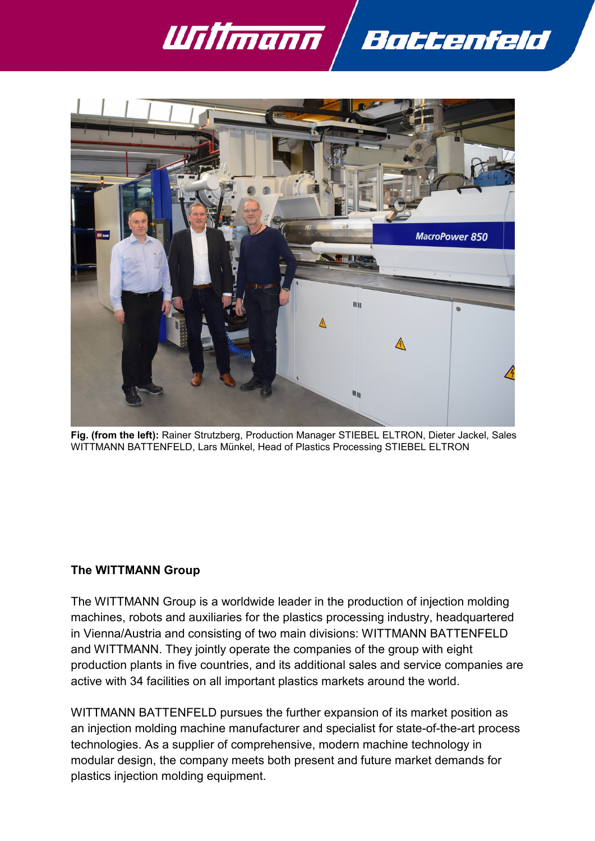



**Fig. (from the left):** Rainer Strutzberg, Production Manager STIEBEL ELTRON, Dieter Jackel, Sales WITTMANN BATTENFELD, Lars Münkel, Head of Plastics Processing STIEBEL ELTRON

## **The WITTMANN Group**

The WITTMANN Group is a worldwide leader in the production of injection molding machines, robots and auxiliaries for the plastics processing industry, headquartered in Vienna/Austria and consisting of two main divisions: WITTMANN BATTENFELD and WITTMANN. They jointly operate the companies of the group with eight production plants in five countries, and its additional sales and service companies are active with 34 facilities on all important plastics markets around the world.

WITTMANN BATTENFELD pursues the further expansion of its market position as an injection molding machine manufacturer and specialist for state-of-the-art process technologies. As a supplier of comprehensive, modern machine technology in modular design, the company meets both present and future market demands for plastics injection molding equipment.